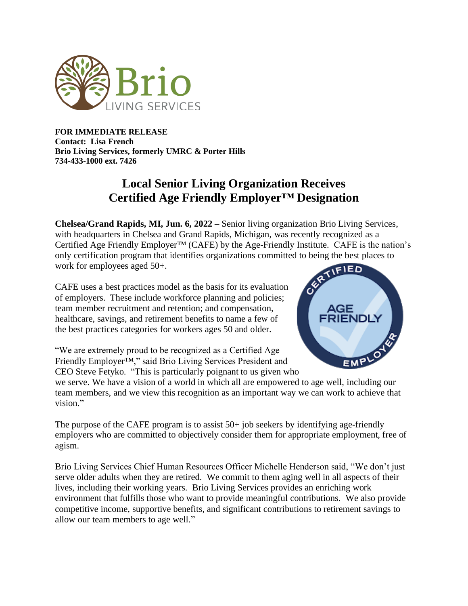

**FOR IMMEDIATE RELEASE Contact: Lisa French Brio Living Services, formerly UMRC & Porter Hills 734-433-1000 ext. 7426**

## **Local Senior Living Organization Receives Certified Age Friendly Employer™ Designation**

**Chelsea/Grand Rapids, MI, Jun. 6, 2022 –** Senior living organization Brio Living Services, with headquarters in Chelsea and Grand Rapids, Michigan, was recently recognized as a Certified Age Friendly Employer<sup>TM</sup> (CAFE) by the Age-Friendly Institute. CAFE is the nation's only certification program that identifies organizations committed to being the best places to work for employees aged 50+.

CAFE uses a best practices model as the basis for its evaluation of employers. These include workforce planning and policies; team member recruitment and retention; and compensation, healthcare, savings, and retirement benefits to name a few of the best practices categories for workers ages 50 and older.

"We are extremely proud to be recognized as a Certified Age Friendly Employer™," said Brio Living Services President and CEO Steve Fetyko. "This is particularly poignant to us given who



we serve. We have a vision of a world in which all are empowered to age well, including our team members, and we view this recognition as an important way we can work to achieve that vision."

The purpose of the CAFE program is to assist 50+ job seekers by identifying age-friendly employers who are committed to objectively consider them for appropriate employment, free of agism.

Brio Living Services Chief Human Resources Officer Michelle Henderson said, "We don't just serve older adults when they are retired. We commit to them aging well in all aspects of their lives, including their working years. Brio Living Services provides an enriching work environment that fulfills those who want to provide meaningful contributions. We also provide competitive income, supportive benefits, and significant contributions to retirement savings to allow our team members to age well."